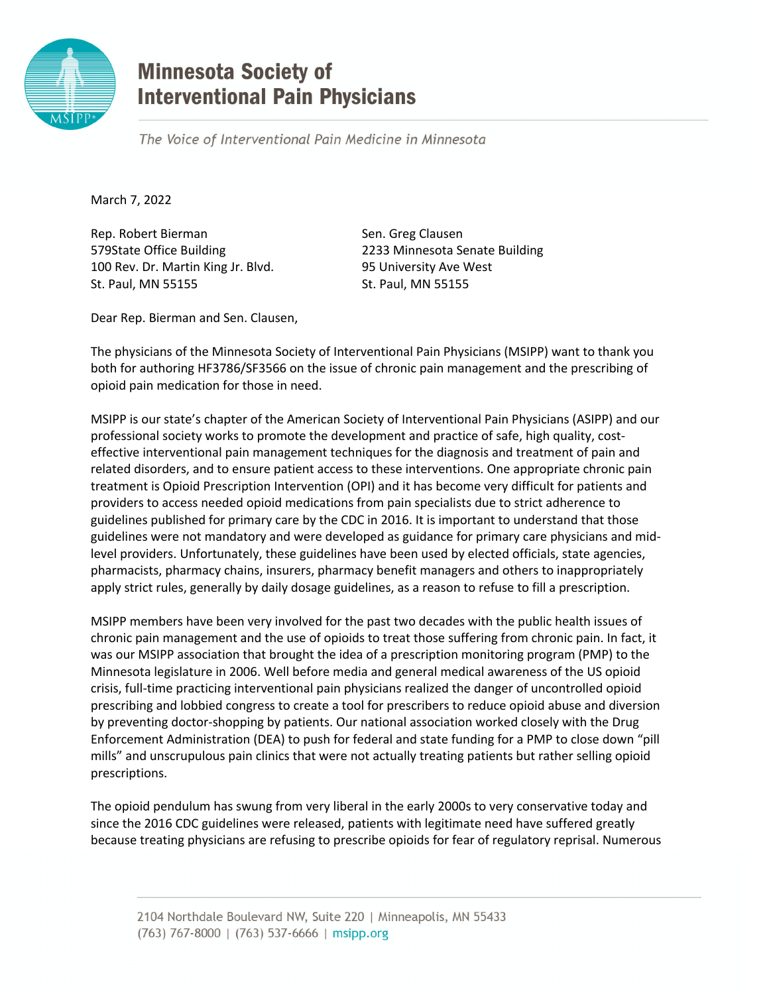

## **Minnesota Society of Interventional Pain Physicians**

The Voice of Interventional Pain Medicine in Minnesota

March 7, 2022

Rep. Robert Bierman Sen. Greg Clausen 579State Office Building 2233 Minnesota Senate Building 100 Rev. Dr. Martin King Jr. Blvd. 95 University Ave West St. Paul, MN 55155 St. Paul, MN 55155

Dear Rep. Bierman and Sen. Clausen,

The physicians of the Minnesota Society of Interventional Pain Physicians (MSIPP) want to thank you both for authoring HF3786/SF3566 on the issue of chronic pain management and the prescribing of opioid pain medication for those in need.

MSIPP is our state's chapter of the American Society of Interventional Pain Physicians (ASIPP) and our professional society works to promote the development and practice of safe, high quality, costeffective interventional pain management techniques for the diagnosis and treatment of pain and related disorders, and to ensure patient access to these interventions. One appropriate chronic pain treatment is Opioid Prescription Intervention (OPI) and it has become very difficult for patients and providers to access needed opioid medications from pain specialists due to strict adherence to guidelines published for primary care by the CDC in 2016. It is important to understand that those guidelines were not mandatory and were developed as guidance for primary care physicians and midlevel providers. Unfortunately, these guidelines have been used by elected officials, state agencies, pharmacists, pharmacy chains, insurers, pharmacy benefit managers and others to inappropriately apply strict rules, generally by daily dosage guidelines, as a reason to refuse to fill a prescription.

MSIPP members have been very involved for the past two decades with the public health issues of chronic pain management and the use of opioids to treat those suffering from chronic pain. In fact, it was our MSIPP association that brought the idea of a prescription monitoring program (PMP) to the Minnesota legislature in 2006. Well before media and general medical awareness of the US opioid crisis, full-time practicing interventional pain physicians realized the danger of uncontrolled opioid prescribing and lobbied congress to create a tool for prescribers to reduce opioid abuse and diversion by preventing doctor-shopping by patients. Our national association worked closely with the Drug Enforcement Administration (DEA) to push for federal and state funding for a PMP to close down "pill mills" and unscrupulous pain clinics that were not actually treating patients but rather selling opioid prescriptions.

The opioid pendulum has swung from very liberal in the early 2000s to very conservative today and since the 2016 CDC guidelines were released, patients with legitimate need have suffered greatly because treating physicians are refusing to prescribe opioids for fear of regulatory reprisal. Numerous